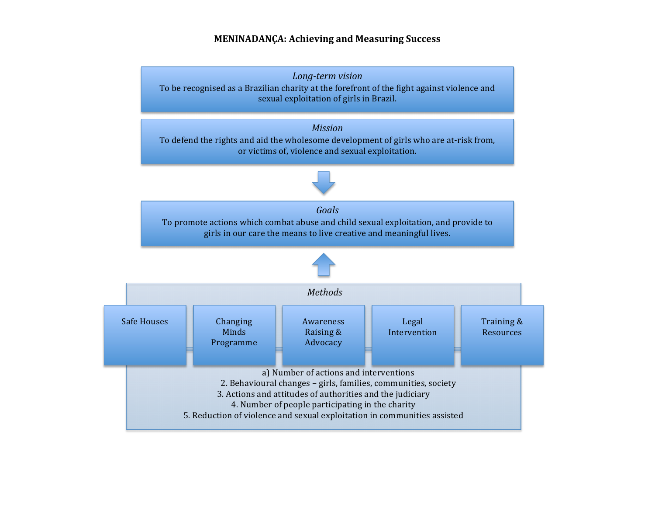## **MENINADANÇA: Achieving and Measuring Success**